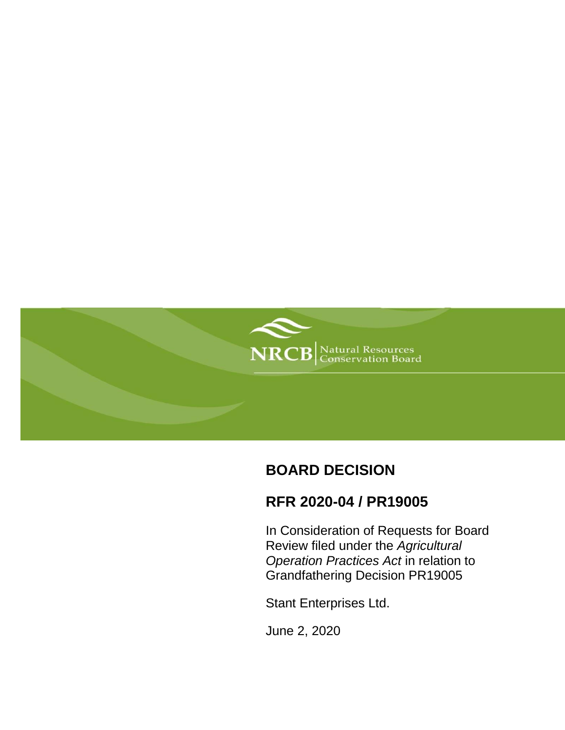

# **BOARD DECISION**

# **RFR 2020-04 / PR19005**

In Consideration of Requests for Board Review filed under the *Agricultural Operation Practices Act* in relation to Grandfathering Decision PR19005

Stant Enterprises Ltd.

June 2, 2020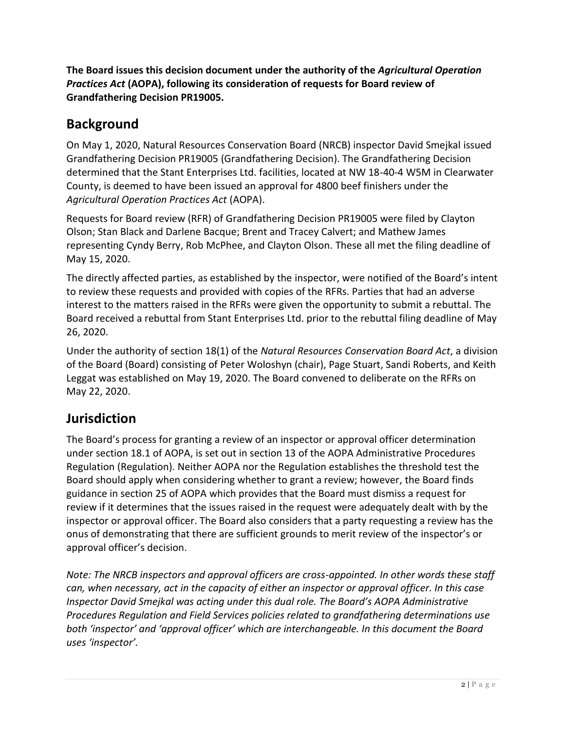**The Board issues this decision document under the authority of the** *Agricultural Operation Practices Act* **(AOPA), following its consideration of requests for Board review of Grandfathering Decision PR19005.**

### **Background**

On May 1, 2020, Natural Resources Conservation Board (NRCB) inspector David Smejkal issued Grandfathering Decision PR19005 (Grandfathering Decision). The Grandfathering Decision determined that the Stant Enterprises Ltd. facilities, located at NW 18-40-4 W5M in Clearwater County, is deemed to have been issued an approval for 4800 beef finishers under the *Agricultural Operation Practices Act* (AOPA).

Requests for Board review (RFR) of Grandfathering Decision PR19005 were filed by Clayton Olson; Stan Black and Darlene Bacque; Brent and Tracey Calvert; and Mathew James representing Cyndy Berry, Rob McPhee, and Clayton Olson. These all met the filing deadline of May 15, 2020.

The directly affected parties, as established by the inspector, were notified of the Board's intent to review these requests and provided with copies of the RFRs. Parties that had an adverse interest to the matters raised in the RFRs were given the opportunity to submit a rebuttal. The Board received a rebuttal from Stant Enterprises Ltd. prior to the rebuttal filing deadline of May 26, 2020.

Under the authority of section 18(1) of the *Natural Resources Conservation Board Act*, a division of the Board (Board) consisting of Peter Woloshyn (chair), Page Stuart, Sandi Roberts, and Keith Leggat was established on May 19, 2020. The Board convened to deliberate on the RFRs on May 22, 2020.

# **Jurisdiction**

The Board's process for granting a review of an inspector or approval officer determination under section 18.1 of AOPA, is set out in section 13 of the AOPA Administrative Procedures Regulation (Regulation). Neither AOPA nor the Regulation establishes the threshold test the Board should apply when considering whether to grant a review; however, the Board finds guidance in section 25 of AOPA which provides that the Board must dismiss a request for review if it determines that the issues raised in the request were adequately dealt with by the inspector or approval officer. The Board also considers that a party requesting a review has the onus of demonstrating that there are sufficient grounds to merit review of the inspector's or approval officer's decision.

*Note: The NRCB inspectors and approval officers are cross-appointed. In other words these staff can, when necessary, act in the capacity of either an inspector or approval officer. In this case Inspector David Smejkal was acting under this dual role. The Board's AOPA Administrative Procedures Regulation and Field Services policies related to grandfathering determinations use both 'inspector' and 'approval officer' which are interchangeable. In this document the Board uses 'inspector'.*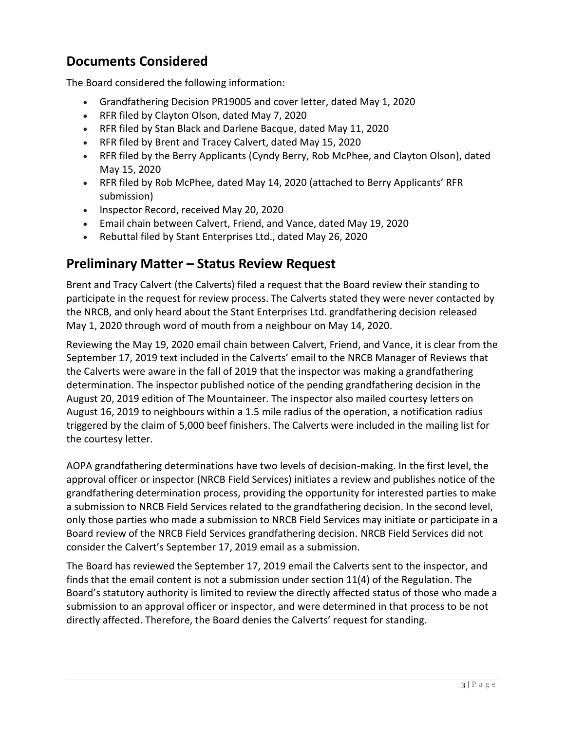# **Documents Considered**

The Board considered the following information:

- Grandfathering Decision PR19005 and cover letter, dated May 1, 2020
- RFR filed by Clayton Olson, dated May 7, 2020
- RFR filed by Stan Black and Darlene Bacque, dated May 11, 2020
- RFR filed by Brent and Tracey Calvert, dated May 15, 2020
- RFR filed by the Berry Applicants (Cyndy Berry, Rob McPhee, and Clayton Olson), dated May 15, 2020
- RFR filed by Rob McPhee, dated May 14, 2020 (attached to Berry Applicants' RFR submission)
- Inspector Record, received May 20, 2020
- Email chain between Calvert, Friend, and Vance, dated May 19, 2020
- Rebuttal filed by Stant Enterprises Ltd., dated May 26, 2020

### **Preliminary Matter – Status Review Request**

Brent and Tracy Calvert (the Calverts) filed a request that the Board review their standing to participate in the request for review process. The Calverts stated they were never contacted by the NRCB, and only heard about the Stant Enterprises Ltd. grandfathering decision released May 1, 2020 through word of mouth from a neighbour on May 14, 2020.

Reviewing the May 19, 2020 email chain between Calvert, Friend, and Vance, it is clear from the September 17, 2019 text included in the Calverts' email to the NRCB Manager of Reviews that the Calverts were aware in the fall of 2019 that the inspector was making a grandfathering determination. The inspector published notice of the pending grandfathering decision in the August 20, 2019 edition of The Mountaineer. The inspector also mailed courtesy letters on August 16, 2019 to neighbours within a 1.5 mile radius of the operation, a notification radius triggered by the claim of 5,000 beef finishers. The Calverts were included in the mailing list for the courtesy letter.

AOPA grandfathering determinations have two levels of decision-making. In the first level, the approval officer or inspector (NRCB Field Services) initiates a review and publishes notice of the grandfathering determination process, providing the opportunity for interested parties to make a submission to NRCB Field Services related to the grandfathering decision. In the second level, only those parties who made a submission to NRCB Field Services may initiate or participate in a Board review of the NRCB Field Services grandfathering decision. NRCB Field Services did not consider the Calvert's September 17, 2019 email as a submission.

The Board has reviewed the September 17, 2019 email the Calverts sent to the inspector, and finds that the email content is not a submission under section 11(4) of the Regulation. The Board's statutory authority is limited to review the directly affected status of those who made a submission to an approval officer or inspector, and were determined in that process to be not directly affected. Therefore, the Board denies the Calverts' request for standing.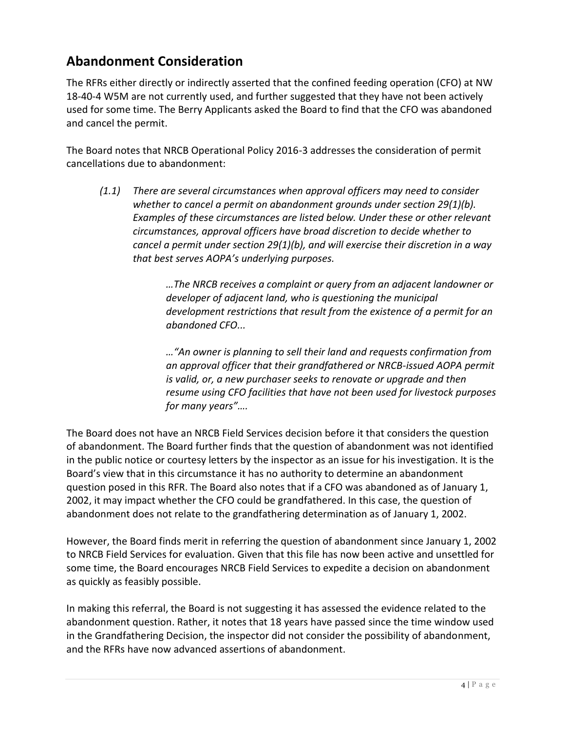# **Abandonment Consideration**

The RFRs either directly or indirectly asserted that the confined feeding operation (CFO) at NW 18-40-4 W5M are not currently used, and further suggested that they have not been actively used for some time. The Berry Applicants asked the Board to find that the CFO was abandoned and cancel the permit.

The Board notes that NRCB Operational Policy 2016-3 addresses the consideration of permit cancellations due to abandonment:

*(1.1) There are several circumstances when approval officers may need to consider whether to cancel a permit on abandonment grounds under section 29(1)(b). Examples of these circumstances are listed below. Under these or other relevant circumstances, approval officers have broad discretion to decide whether to cancel a permit under section 29(1)(b), and will exercise their discretion in a way that best serves AOPA's underlying purposes.*

> *…The NRCB receives a complaint or query from an adjacent landowner or developer of adjacent land, who is questioning the municipal development restrictions that result from the existence of a permit for an abandoned CFO...*

> *…"An owner is planning to sell their land and requests confirmation from an approval officer that their grandfathered or NRCB-issued AOPA permit is valid, or, a new purchaser seeks to renovate or upgrade and then resume using CFO facilities that have not been used for livestock purposes for many years"….*

The Board does not have an NRCB Field Services decision before it that considers the question of abandonment. The Board further finds that the question of abandonment was not identified in the public notice or courtesy letters by the inspector as an issue for his investigation. It is the Board's view that in this circumstance it has no authority to determine an abandonment question posed in this RFR. The Board also notes that if a CFO was abandoned as of January 1, 2002, it may impact whether the CFO could be grandfathered. In this case, the question of abandonment does not relate to the grandfathering determination as of January 1, 2002.

However, the Board finds merit in referring the question of abandonment since January 1, 2002 to NRCB Field Services for evaluation. Given that this file has now been active and unsettled for some time, the Board encourages NRCB Field Services to expedite a decision on abandonment as quickly as feasibly possible.

In making this referral, the Board is not suggesting it has assessed the evidence related to the abandonment question. Rather, it notes that 18 years have passed since the time window used in the Grandfathering Decision, the inspector did not consider the possibility of abandonment, and the RFRs have now advanced assertions of abandonment.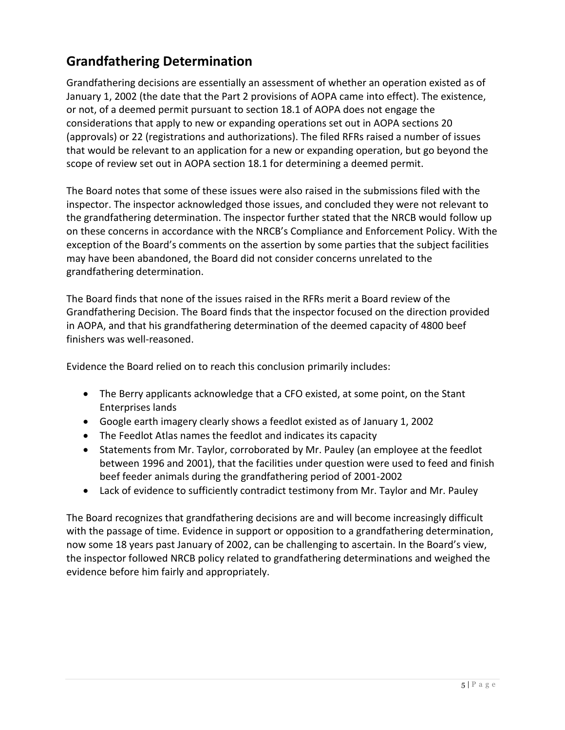# **Grandfathering Determination**

Grandfathering decisions are essentially an assessment of whether an operation existed as of January 1, 2002 (the date that the Part 2 provisions of AOPA came into effect). The existence, or not, of a deemed permit pursuant to section 18.1 of AOPA does not engage the considerations that apply to new or expanding operations set out in AOPA sections 20 (approvals) or 22 (registrations and authorizations). The filed RFRs raised a number of issues that would be relevant to an application for a new or expanding operation, but go beyond the scope of review set out in AOPA section 18.1 for determining a deemed permit.

The Board notes that some of these issues were also raised in the submissions filed with the inspector. The inspector acknowledged those issues, and concluded they were not relevant to the grandfathering determination. The inspector further stated that the NRCB would follow up on these concerns in accordance with the NRCB's Compliance and Enforcement Policy. With the exception of the Board's comments on the assertion by some parties that the subject facilities may have been abandoned, the Board did not consider concerns unrelated to the grandfathering determination.

The Board finds that none of the issues raised in the RFRs merit a Board review of the Grandfathering Decision. The Board finds that the inspector focused on the direction provided in AOPA, and that his grandfathering determination of the deemed capacity of 4800 beef finishers was well-reasoned.

Evidence the Board relied on to reach this conclusion primarily includes:

- The Berry applicants acknowledge that a CFO existed, at some point, on the Stant Enterprises lands
- Google earth imagery clearly shows a feedlot existed as of January 1, 2002
- The Feedlot Atlas names the feedlot and indicates its capacity
- Statements from Mr. Taylor, corroborated by Mr. Pauley (an employee at the feedlot between 1996 and 2001), that the facilities under question were used to feed and finish beef feeder animals during the grandfathering period of 2001-2002
- Lack of evidence to sufficiently contradict testimony from Mr. Taylor and Mr. Pauley

The Board recognizes that grandfathering decisions are and will become increasingly difficult with the passage of time. Evidence in support or opposition to a grandfathering determination, now some 18 years past January of 2002, can be challenging to ascertain. In the Board's view, the inspector followed NRCB policy related to grandfathering determinations and weighed the evidence before him fairly and appropriately.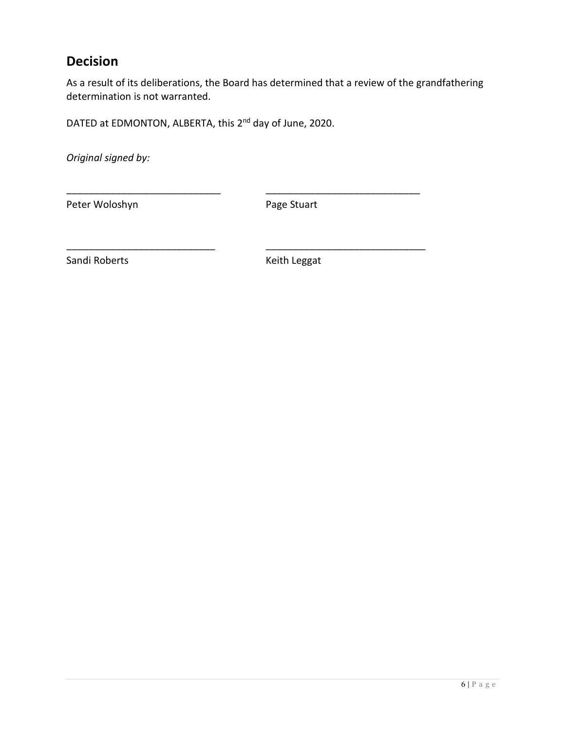### **Decision**

As a result of its deliberations, the Board has determined that a review of the grandfathering determination is not warranted.

DATED at EDMONTON, ALBERTA, this 2<sup>nd</sup> day of June, 2020.

*Original signed by:*

Peter Woloshyn **Page Stuart** 

\_\_\_\_\_\_\_\_\_\_\_\_\_\_\_\_\_\_\_\_\_\_\_\_\_\_\_\_ \_\_\_\_\_\_\_\_\_\_\_\_\_\_\_\_\_\_\_\_\_\_\_\_\_\_\_\_

\_\_\_\_\_\_\_\_\_\_\_\_\_\_\_\_\_\_\_\_\_\_\_\_\_\_\_ \_\_\_\_\_\_\_\_\_\_\_\_\_\_\_\_\_\_\_\_\_\_\_\_\_\_\_\_\_

Sandi Roberts **Keith Leggat**